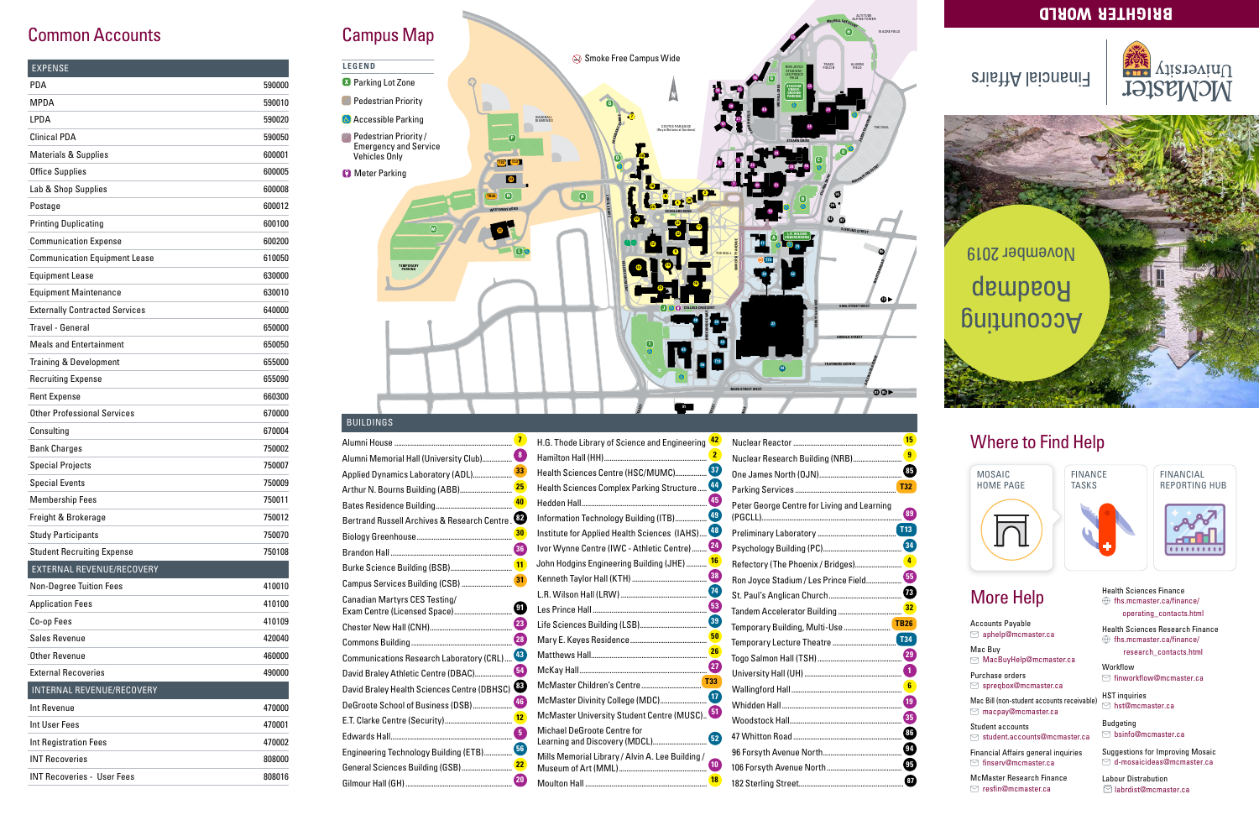

FINANCE TASKS







**<sup>M</sup>ICHEL<sup>L</sup> <sup>C</sup>RESCEN<sup>T</sup>**

ALTITUDE ALPINE TOWER

#### **BBICHLEB MOBTD**

### **Financial Affairs**



### **Common Accounts** Campus Map

| <b>EXPENSE</b>                        |        |
|---------------------------------------|--------|
| PDA                                   | 590000 |
| MPDA                                  | 590010 |
| LPDA                                  | 590020 |
| Clinical PDA                          | 590050 |
| <b>Materials &amp; Supplies</b>       | 600001 |
| <b>Office Supplies</b>                | 600005 |
| Lab & Shop Supplies                   | 600008 |
| Postage                               | 600012 |
| <b>Printing Duplicating</b>           | 600100 |
| <b>Communication Expense</b>          | 600200 |
| <b>Communication Equipment Lease</b>  | 610050 |
| <b>Equipment Lease</b>                | 630000 |
| <b>Equipment Maintenance</b>          | 630010 |
| <b>Externally Contracted Services</b> | 640000 |
| Travel - General                      | 650000 |
| <b>Meals and Entertainment</b>        | 650050 |
| <b>Training &amp; Development</b>     | 655000 |
| <b>Recruiting Expense</b>             | 655090 |
| <b>Rent Expense</b>                   | 660300 |
| <b>Other Professional Services</b>    | 670000 |
| Consulting                            | 670004 |
| <b>Bank Charges</b>                   | 750002 |
| <b>Special Projects</b>               | 750007 |
| <b>Special Events</b>                 | 750009 |
| <b>Membership Fees</b>                | 750011 |
| Freight & Brokerage                   | 750012 |
| <b>Study Participants</b>             | 750070 |
| <b>Student Recruiting Expense</b>     | 750108 |
| EXTERNAL REVENUE/RECOVERY             |        |
| <b>Non-Degree Tuition Fees</b>        | 410010 |
| <b>Application Fees</b>               | 410100 |
| Co-op Fees                            | 410109 |
| Sales Revenue                         | 420040 |
| Other Revenue                         | 460000 |
| <b>External Recoveries</b>            | 490000 |
| INTERNAL REVENUE/RECOVERY             |        |
| Int Revenue                           | 470000 |
| Int User Fees                         | 470001 |
| <b>Int Registration Fees</b>          | 470002 |
| <b>INT Recoveries</b>                 | 808000 |
| <b>INT Recoveries - User Fees</b>     | 808016 |

#### BUILDINGS

| H.G. T                                                                                                                                                                                     |
|--------------------------------------------------------------------------------------------------------------------------------------------------------------------------------------------|
| Hamil                                                                                                                                                                                      |
| Healtl                                                                                                                                                                                     |
| Healtl                                                                                                                                                                                     |
| Hedde                                                                                                                                                                                      |
| Inforn                                                                                                                                                                                     |
| Institu                                                                                                                                                                                    |
| Ivor V                                                                                                                                                                                     |
| John I                                                                                                                                                                                     |
| Kenne                                                                                                                                                                                      |
| L.R. V                                                                                                                                                                                     |
| Les Pi                                                                                                                                                                                     |
| Life S                                                                                                                                                                                     |
| Mary                                                                                                                                                                                       |
| Matth                                                                                                                                                                                      |
| McKa                                                                                                                                                                                       |
| McMa                                                                                                                                                                                       |
| McMa                                                                                                                                                                                       |
| McM                                                                                                                                                                                        |
| Micha                                                                                                                                                                                      |
| Learn                                                                                                                                                                                      |
| Mills I<br>Muse                                                                                                                                                                            |
| Moult                                                                                                                                                                                      |
| Bertrand Russell Archives & Research Centre.<br>30<br>Communications Research Laboratory (CRL) <sup>43</sup><br>64<br>David Braley Health Sciences Centre (DBHSC)<br>46<br>12 <sup>1</sup> |

| H.G. Thode Library of Science and Engineering    | 42              |
|--------------------------------------------------|-----------------|
|                                                  | $\overline{2}$  |
| Health Sciences Centre (HSC/MUMC)                | $\overline{37}$ |
| Health Sciences Complex Parking Structure        | 44              |
|                                                  | 45              |
| Information Technology Building (ITB)            | 49              |
| Institute for Applied Health Sciences (IAHS)     | 48              |
| Ivor Wynne Centre (IWC - Athletic Centre)        | 24              |
| John Hodgins Engineering Building (JHE)          | 16              |
|                                                  | 38              |
|                                                  | $\overline{74}$ |
|                                                  | 53              |
|                                                  |                 |
|                                                  |                 |
|                                                  | <b>26</b>       |
|                                                  |                 |
|                                                  |                 |
| McMaster Divinity College (MDC)                  | (17)            |
| McMaster University Student Centre (MUSC). 51    |                 |
| <b>Michael DeGroote Centre for</b>               | 52              |
| Learning and Discovery (MDCL)                    |                 |
| Mills Memorial Library / Alvin A. Lee Building / | 10              |
|                                                  | 18              |



Student accounts  $\Box$  student.accounts@mcmaster.ca

Financial Affairs general inquiries  $\odot$  finserv@mcmaster.ca

HST inquiries  $\Box$  hst@mcmaster.ca

| <b>15</b>       |
|-----------------|
|                 |
| 85              |
|                 |
| 89              |
| <b>T13</b>      |
| (34)            |
|                 |
|                 |
|                 |
|                 |
|                 |
| T34             |
|                 |
|                 |
|                 |
| $\overline{19}$ |
|                 |
| 86              |
|                 |
|                 |
| 87              |
|                 |

### Where to Find Help

### More Help

Accounts Payable aphelp@mcmaster.ca

Mac Buy MacBuyHelp@mcmaster.ca

Purchase orders spreqbox@mcmaster.ca

Mac Bill (non-student accounts receivable) macpay@mcmaster.ca

McMaster Research Finance resfin@mcmaster.ca

Health Sciences Finance  $\circledR$  fhs.mcmaster.ca/finance/ operating\_contacts.html

Health Sciences Research Finance  $\textcircled{f}$  fhs.mcmaster.ca/finance/ research\_contacts.html

Workflow finworkflow@mcmaster.ca

Budgeting bsinfo@mcmaster.ca

Suggestions for Improving Mosaic d-mosaicideas@mcmaster.ca

Labour Distrabution labrdist@mcmaster.ca

# Accounting Roadmap November 2019